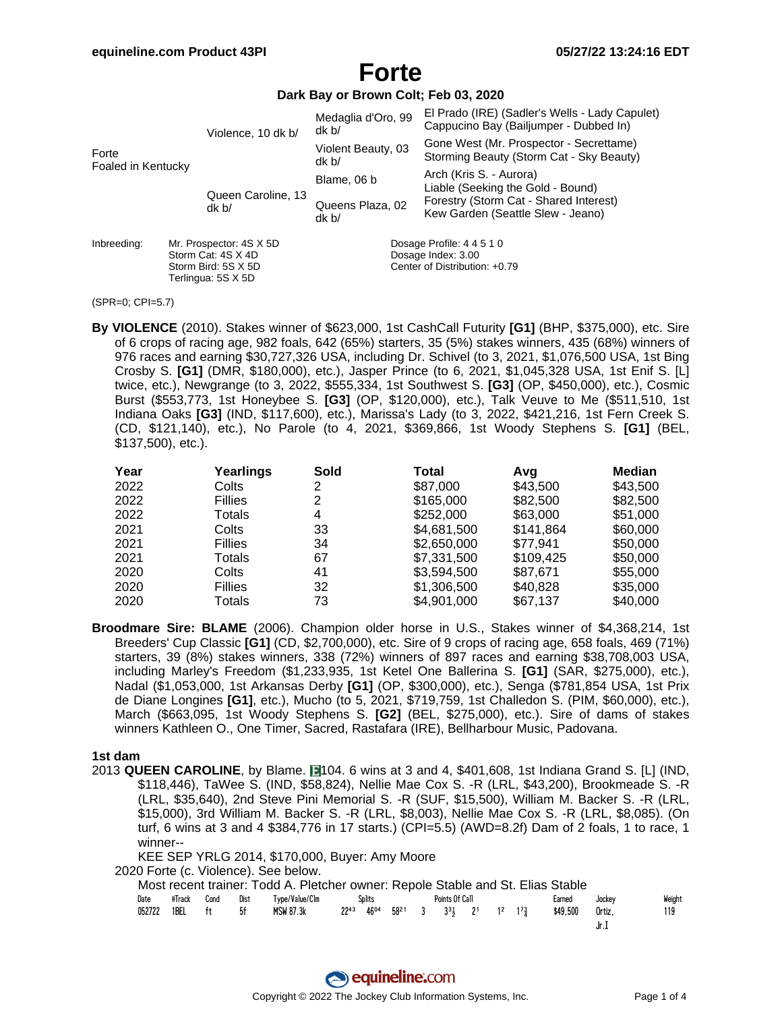Terlingua: 5S X 5D

# **Forte**

#### **Dark Bay or Brown Colt; Feb 03, 2020**

| Forte<br>Foaled in Kentucky<br>Inbreeding: |  | Violence, 10 dk b/                            | Medaglia d'Oro, 99<br>dk <sub>b</sub>           | El Prado (IRE) (Sadler's Wells - Lady Capulet)<br>Cappucino Bay (Bailjumper - Dubbed In) |  |  |  |  |
|--------------------------------------------|--|-----------------------------------------------|-------------------------------------------------|------------------------------------------------------------------------------------------|--|--|--|--|
|                                            |  |                                               | Violent Beauty, 03<br>dk b/                     | Gone West (Mr. Prospector - Secrettame)<br>Storming Beauty (Storm Cat - Sky Beauty)      |  |  |  |  |
|                                            |  |                                               | Blame, 06 b                                     | Arch (Kris S. - Aurora)<br>Liable (Seeking the Gold - Bound)                             |  |  |  |  |
|                                            |  | Queen Caroline, 13<br>dk b/                   | Queens Plaza, 02<br>dk b/                       | Forestry (Storm Cat - Shared Interest)<br>Kew Garden (Seattle Slew - Jeano)              |  |  |  |  |
|                                            |  | Mr. Prospector: 4S X 5D<br>Storm Cat: 4S X 4D | Dosage Profile: 4 4 5 1 0<br>Dosage Index: 3.00 |                                                                                          |  |  |  |  |
|                                            |  | Storm Bird: 5S X 5D                           | Center of Distribution: +0.79                   |                                                                                          |  |  |  |  |

<sup>(</sup>SPR=0; CPI=5.7)

**By VIOLENCE** (2010). Stakes winner of \$623,000, 1st CashCall Futurity **[G1]** (BHP, \$375,000), etc. Sire of 6 crops of racing age, 982 foals, 642 (65%) starters, 35 (5%) stakes winners, 435 (68%) winners of 976 races and earning \$30,727,326 USA, including Dr. Schivel (to 3, 2021, \$1,076,500 USA, 1st Bing Crosby S. **[G1]** (DMR, \$180,000), etc.), Jasper Prince (to 6, 2021, \$1,045,328 USA, 1st Enif S. [L] twice, etc.), Newgrange (to 3, 2022, \$555,334, 1st Southwest S. **[G3]** (OP, \$450,000), etc.), Cosmic Burst (\$553,773, 1st Honeybee S. **[G3]** (OP, \$120,000), etc.), Talk Veuve to Me (\$511,510, 1st Indiana Oaks **[G3]** (IND, \$117,600), etc.), Marissa's Lady (to 3, 2022, \$421,216, 1st Fern Creek S. (CD, \$121,140), etc.), No Parole (to 4, 2021, \$369,866, 1st Woody Stephens S. **[G1]** (BEL, \$137,500), etc.).

| Year | Yearlings      | Sold | Total       | Avq       | <b>Median</b> |
|------|----------------|------|-------------|-----------|---------------|
| 2022 | Colts          | 2    | \$87,000    | \$43,500  | \$43,500      |
| 2022 | <b>Fillies</b> | 2    | \$165,000   | \$82,500  | \$82,500      |
| 2022 | Totals         | 4    | \$252,000   | \$63,000  | \$51,000      |
| 2021 | Colts          | 33   | \$4,681,500 | \$141.864 | \$60,000      |
| 2021 | <b>Fillies</b> | 34   | \$2,650,000 | \$77,941  | \$50,000      |
| 2021 | Totals         | 67   | \$7,331,500 | \$109.425 | \$50,000      |
| 2020 | Colts          | 41   | \$3,594,500 | \$87,671  | \$55,000      |
| 2020 | <b>Fillies</b> | 32   | \$1,306,500 | \$40,828  | \$35,000      |
| 2020 | Totals         | 73   | \$4.901.000 | \$67.137  | \$40,000      |

**Broodmare Sire: BLAME** (2006). Champion older horse in U.S., Stakes winner of \$4,368,214, 1st Breeders' Cup Classic **[G1]** (CD, \$2,700,000), etc. Sire of 9 crops of racing age, 658 foals, 469 (71%) starters, 39 (8%) stakes winners, 338 (72%) winners of 897 races and earning \$38,708,003 USA, including Marley's Freedom (\$1,233,935, 1st Ketel One Ballerina S. **[G1]** (SAR, \$275,000), etc.), Nadal (\$1,053,000, 1st Arkansas Derby **[G1]** (OP, \$300,000), etc.), Senga (\$781,854 USA, 1st Prix de Diane Longines **[G1]**, etc.), Mucho (to 5, 2021, \$719,759, 1st Challedon S. (PIM, \$60,000), etc.), March (\$663,095, 1st Woody Stephens S. **[G2]** (BEL, \$275,000), etc.). Sire of dams of stakes winners Kathleen O., One Timer, Sacred, Rastafara (IRE), Bellharbour Music, Padovana.

#### **1st dam**

2013 **QUEEN CAROLINE**, by Blame. **1104.** 6 wins at 3 and 4, \$401,608, 1st Indiana Grand S. [L] (IND, \$118,446), TaWee S. (IND, \$58,824), Nellie Mae Cox S. -R (LRL, \$43,200), Brookmeade S. -R (LRL, \$35,640), 2nd Steve Pini Memorial S. -R (SUF, \$15,500), William M. Backer S. -R (LRL, \$15,000), 3rd William M. Backer S. -R (LRL, \$8,003), Nellie Mae Cox S. -R (LRL, \$8,085). (On turf, 6 wins at 3 and 4 \$384,776 in 17 starts.) (CPI=5.5) (AWD=8.2f) Dam of 2 foals, 1 to race, 1 winner--

KEE SEP YRLG 2014, \$170,000, Buyer: Amy Moore

2020 Forte (c. Violence). See below.

|      |                |      |      | Most recent trainer: Todd A. Pletcher owner: Repole Stable and St. Elias Stable |        |  |                                                                                                                                     |  |          |        |        |
|------|----------------|------|------|---------------------------------------------------------------------------------|--------|--|-------------------------------------------------------------------------------------------------------------------------------------|--|----------|--------|--------|
| Date | #Track         | Cond | Dist | Type/Value/Clm                                                                  | Splits |  | Points Of Call                                                                                                                      |  | Earned   | Jockey | Weiaht |
|      | 052722 1BEL ft |      | .5f  | MSW 87.3k                                                                       |        |  | $22^{43}$ 46 <sup>04</sup> 58 <sup>21</sup> 3 3 <sup>3</sup> <sub>3</sub> 2 <sup>1</sup> 1 <sup>2</sup> 1 <sup>7</sup> <sub>3</sub> |  | \$49.500 | Ortiz. | 119    |
|      |                |      |      |                                                                                 |        |  |                                                                                                                                     |  |          | Jr.I   |        |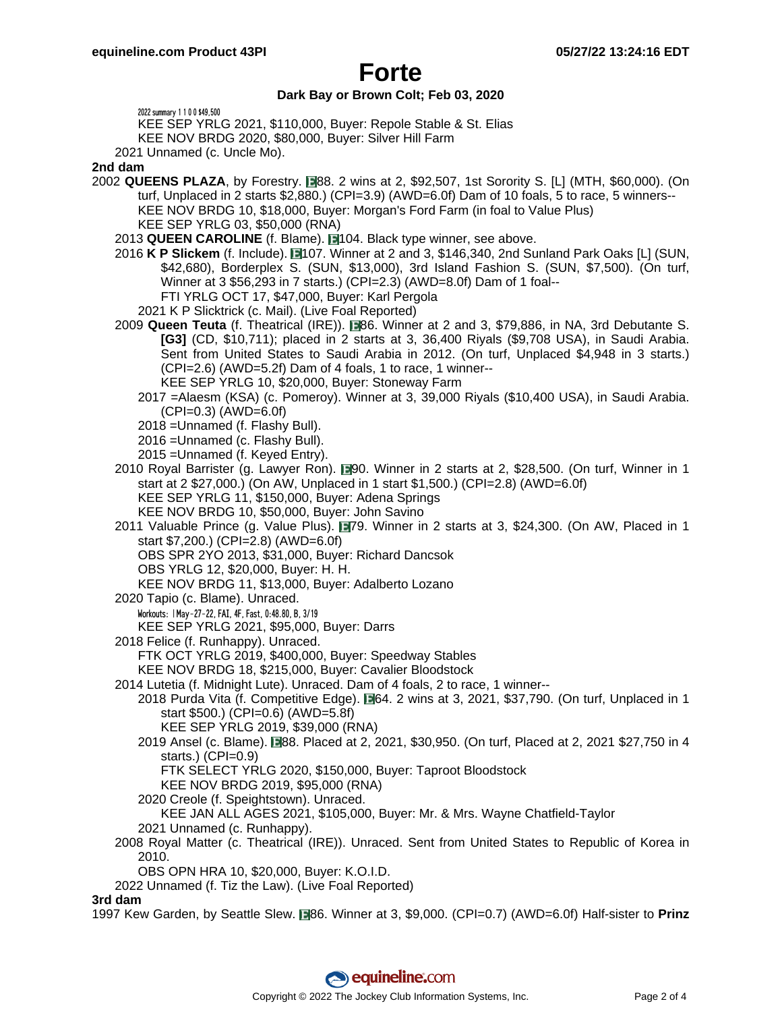# **Forte**

### **Dark Bay or Brown Colt; Feb 03, 2020**

2022 summary 1 1 0 0 \$49,500

KEE SEP YRLG 2021, \$110,000, Buyer: Repole Stable & St. Elias

KEE NOV BRDG 2020, \$80,000, Buyer: Silver Hill Farm

2021 Unnamed (c. Uncle Mo).

#### **2nd dam**

- 2002 **QUEENS PLAZA**, by Forestry. 88. 2 wins at 2, \$92,507, 1st Sorority S. [L] (MTH, \$60,000). (On turf, Unplaced in 2 starts \$2,880.) (CPI=3.9) (AWD=6.0f) Dam of 10 foals, 5 to race, 5 winners-- KEE NOV BRDG 10, \$18,000, Buyer: Morgan's Ford Farm (in foal to Value Plus) KEE SEP YRLG 03, \$50,000 (RNA)
	- 2013 QUEEN CAROLINE (f. Blame). 104. Black type winner, see above.
	- 2016 **K P Slickem** (f. Include). 107. Winner at 2 and 3, \$146,340, 2nd Sunland Park Oaks [L] (SUN, \$42,680), Borderplex S. (SUN, \$13,000), 3rd Island Fashion S. (SUN, \$7,500). (On turf, Winner at 3 \$56,293 in 7 starts.) (CPI=2.3) (AWD=8.0f) Dam of 1 foal-- FTI YRLG OCT 17, \$47,000, Buyer: Karl Pergola
		- 2021 K P Slicktrick (c. Mail). (Live Foal Reported)
	- 2009 **Queen Teuta** (f. Theatrical (IRE)). 86. Winner at 2 and 3, \$79,886, in NA, 3rd Debutante S. **[G3]** (CD, \$10,711); placed in 2 starts at 3, 36,400 Riyals (\$9,708 USA), in Saudi Arabia. Sent from United States to Saudi Arabia in 2012. (On turf, Unplaced \$4,948 in 3 starts.) (CPI=2.6) (AWD=5.2f) Dam of 4 foals, 1 to race, 1 winner-- KEE SEP YRLG 10, \$20,000, Buyer: Stoneway Farm
		- 2017 =Alaesm (KSA) (c. Pomeroy). Winner at 3, 39,000 Riyals (\$10,400 USA), in Saudi Arabia.  $(CPI=0.3)$  (AWD=6.0f)
		- 2018 =Unnamed (f. Flashy Bull).
		- 2016 =Unnamed (c. Flashy Bull).
		- 2015 =Unnamed (f. Keyed Entry).
	- 2010 Royal Barrister (g. Lawyer Ron). 190. Winner in 2 starts at 2, \$28,500. (On turf, Winner in 1 start at 2 \$27,000.) (On AW, Unplaced in 1 start \$1,500.) (CPI=2.8) (AWD=6.0f) KEE SEP YRLG 11, \$150,000, Buyer: Adena Springs
		- KEE NOV BRDG 10, \$50,000, Buyer: John Savino
	- 2011 Valuable Prince (g. Value Plus). 179. Winner in 2 starts at 3, \$24,300. (On AW, Placed in 1 start \$7,200.) (CPI=2.8) (AWD=6.0f)
		- OBS SPR 2YO 2013, \$31,000, Buyer: Richard Dancsok
		- OBS YRLG 12, \$20,000, Buyer: H. H.
		- KEE NOV BRDG 11, \$13,000, Buyer: Adalberto Lozano
	- 2020 Tapio (c. Blame). Unraced.
		- Workouts: | May-27-22, FAI, 4F, Fast, 0:48.80, B, 3/19

KEE SEP YRLG 2021, \$95,000, Buyer: Darrs

- 2018 Felice (f. Runhappy). Unraced.
	- FTK OCT YRLG 2019, \$400,000, Buyer: Speedway Stables
	- KEE NOV BRDG 18, \$215,000, Buyer: Cavalier Bloodstock
- 2014 Lutetia (f. Midnight Lute). Unraced. Dam of 4 foals, 2 to race, 1 winner--
- 2018 Purda Vita (f. Competitive Edge).  $\Box$ 64. 2 wins at 3, 2021, \$37,790. (On turf, Unplaced in 1 start \$500.) (CPI=0.6) (AWD=5.8f)
	- KEE SEP YRLG 2019, \$39,000 (RNA)
	- 2019 Ansel (c. Blame). 88. Placed at 2, 2021, \$30,950. (On turf, Placed at 2, 2021 \$27,750 in 4 starts.) (CPI=0.9)
		- FTK SELECT YRLG 2020, \$150,000, Buyer: Taproot Bloodstock
		- KEE NOV BRDG 2019, \$95,000 (RNA)
	- 2020 Creole (f. Speightstown). Unraced.
	- KEE JAN ALL AGES 2021, \$105,000, Buyer: Mr. & Mrs. Wayne Chatfield-Taylor
	- 2021 Unnamed (c. Runhappy).
- 2008 Royal Matter (c. Theatrical (IRE)). Unraced. Sent from United States to Republic of Korea in 2010.
	- OBS OPN HRA 10, \$20,000, Buyer: K.O.I.D.
- 2022 Unnamed (f. Tiz the Law). (Live Foal Reported)

#### **3rd dam**

1997 Kew Garden, by Seattle Slew. **1986.** Winner at 3, \$9,000. (CPI=0.7) (AWD=6.0f) Half-sister to **Prinz**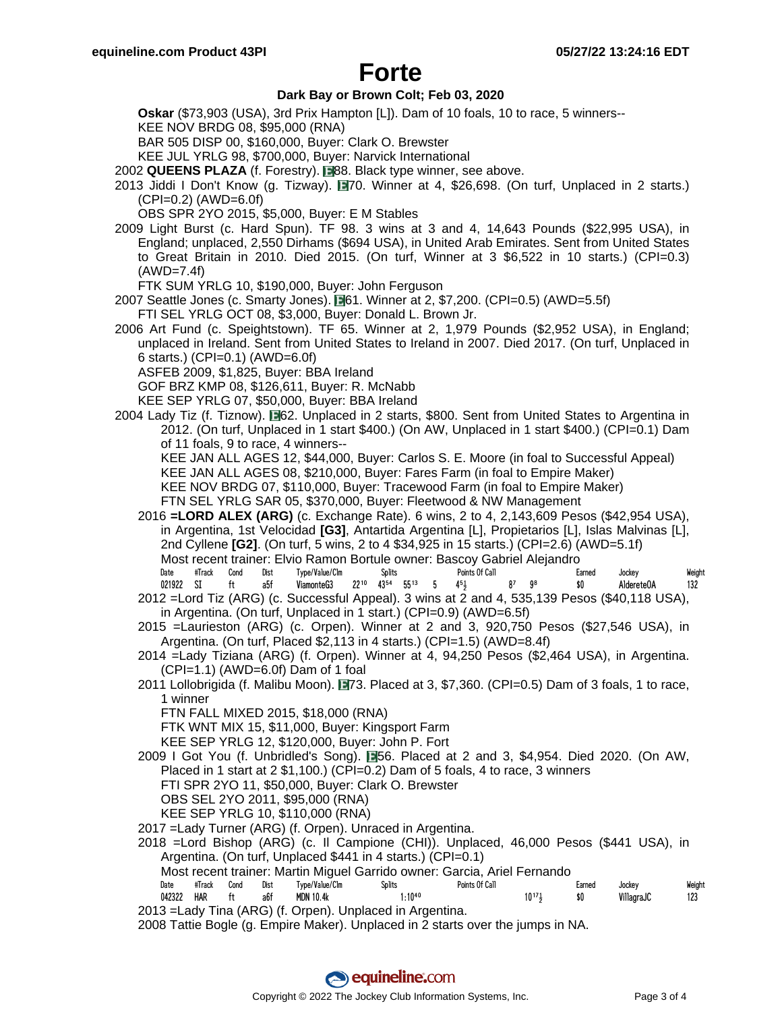# **Forte**

### **Dark Bay or Brown Colt; Feb 03, 2020**

**Oskar** (\$73,903 (USA), 3rd Prix Hampton [L]). Dam of 10 foals, 10 to race, 5 winners--

KEE NOV BRDG 08, \$95,000 (RNA)

BAR 505 DISP 00, \$160,000, Buyer: Clark O. Brewster

KEE JUL YRLG 98, \$700,000, Buyer: Narvick International

2002 QUEENS PLAZA (f. Forestry). **88. Black type winner, see above.** 

- 2013 Jiddi I Don't Know (g. Tizway). 70. Winner at 4, \$26,698. (On turf, Unplaced in 2 starts.)  $(CPI=0.2)$  (AWD=6.0f)
	- OBS SPR 2YO 2015, \$5,000, Buyer: E M Stables
- 2009 Light Burst (c. Hard Spun). TF 98. 3 wins at 3 and 4, 14,643 Pounds (\$22,995 USA), in England; unplaced, 2,550 Dirhams (\$694 USA), in United Arab Emirates. Sent from United States to Great Britain in 2010. Died 2015. (On turf, Winner at 3 \$6,522 in 10 starts.) (CPI=0.3) (AWD=7.4f)

FTK SUM YRLG 10, \$190,000, Buyer: John Ferguson

2007 Seattle Jones (c. Smarty Jones).  $\square$ 61. Winner at 2, \$7,200. (CPI=0.5) (AWD=5.5f) FTI SEL YRLG OCT 08, \$3,000, Buyer: Donald L. Brown Jr.

2006 Art Fund (c. Speightstown). TF 65. Winner at 2, 1,979 Pounds (\$2,952 USA), in England; unplaced in Ireland. Sent from United States to Ireland in 2007. Died 2017. (On turf, Unplaced in 6 starts.) (CPI=0.1) (AWD=6.0f)

ASFEB 2009, \$1,825, Buyer: BBA Ireland

GOF BRZ KMP 08, \$126,611, Buyer: R. McNabb

KEE SEP YRLG 07, \$50,000, Buyer: BBA Ireland

2004 Lady Tiz (f. Tiznow). **1962.** Unplaced in 2 starts, \$800. Sent from United States to Argentina in 2012. (On turf, Unplaced in 1 start \$400.) (On AW, Unplaced in 1 start \$400.) (CPI=0.1) Dam of 11 foals, 9 to race, 4 winners--

KEE JAN ALL AGES 12, \$44,000, Buyer: Carlos S. E. Moore (in foal to Successful Appeal) KEE JAN ALL AGES 08, \$210,000, Buyer: Fares Farm (in foal to Empire Maker) KEE NOV BRDG 07, \$110,000, Buyer: Tracewood Farm (in foal to Empire Maker)

FTN SEL YRLG SAR 05, \$370,000, Buyer: Fleetwood & NW Management

2016 **=LORD ALEX (ARG)** (c. Exchange Rate). 6 wins, 2 to 4, 2,143,609 Pesos (\$42,954 USA), in Argentina, 1st Velocidad **[G3]**, Antartida Argentina [L], Propietarios [L], Islas Malvinas [L], 2nd Cyllene **[G2]**. (On turf, 5 wins, 2 to 4 \$34,925 in 15 starts.) (CPI=2.6) (AWD=5.1f) Most recent trainer: Elvio Ramon Bortule owner: Bascoy Gabriel Alejandro Date #Track Cond Dist Type/Value/Clm Splits Points Of Call Earned Jockey Weight 021922 SI ft a5f ViamonteG3 22<sup>10</sup> 43<sup>54</sup> 55<sup>13</sup> 5 4<sup>5</sup>4 8<sup>7</sup> 9<sup>8</sup> \$0 AldereteOA 132

- 2012 =Lord Tiz (ARG) (c. Successful Appeal). 3 wins at 2 and 4, 535,139 Pesos (\$40,118 USA), in Argentina. (On turf, Unplaced in 1 start.) (CPI=0.9) (AWD=6.5f)
- 2015 =Laurieston (ARG) (c. Orpen). Winner at 2 and 3, 920,750 Pesos (\$27,546 USA), in Argentina. (On turf, Placed \$2,113 in 4 starts.) (CPI=1.5) (AWD=8.4f)
- 2014 =Lady Tiziana (ARG) (f. Orpen). Winner at 4, 94,250 Pesos (\$2,464 USA), in Argentina.  $(CPI=1.1)$  (AWD=6.0f) Dam of 1 foal
- 2011 Lollobrigida (f. Malibu Moon). 73. Placed at 3, \$7,360. (CPI=0.5) Dam of 3 foals, 1 to race, 1 winner

FTN FALL MIXED 2015, \$18,000 (RNA)

FTK WNT MIX 15, \$11,000, Buyer: Kingsport Farm

KEE SEP YRLG 12, \$120,000, Buyer: John P. Fort

2009 I Got You (f. Unbridled's Song). **■56. Placed at 2 and 3, \$4,954. Died 2020. (On AW,** Placed in 1 start at 2 \$1,100.) (CPI=0.2) Dam of 5 foals, 4 to race, 3 winners FTI SPR 2YO 11, \$50,000, Buyer: Clark O. Brewster OBS SEL 2YO 2011, \$95,000 (RNA) KEE SEP YRLG 10, \$110,000 (RNA)

2017 =Lady Turner (ARG) (f. Orpen). Unraced in Argentina.

2018 =Lord Bishop (ARG) (c. Il Campione (CHI)). Unplaced, 46,000 Pesos (\$441 USA), in Argentina. (On turf, Unplaced \$441 in 4 starts.) (CPI=0.1)

Most recent trainer: Martin Miguel Garrido owner: Garcia, Ariel Fernando

| Date   | #Track     | Cond | Dist | fvpe/Value/Clm   | Splits                                                             | Points Of Call | Earned | Jockey     | Weight       |
|--------|------------|------|------|------------------|--------------------------------------------------------------------|----------------|--------|------------|--------------|
| 042322 | <b>HAR</b> |      | a6f  | <b>MDN 10.4k</b> | $1:10^{40}$                                                        | $10^{17}$      | \$0    | VillagraJC | 123<br>1 L J |
| ∩1ว –i |            |      |      |                  | Lady Tipe $(\wedge \mathsf{PC})$ (f. Ornen), Upplaced in Argentina |                |        |            |              |

2013 =Lady Tina (ARG) (f. Orpen). Unplaced in Argentina. 2008 Tattie Bogle (g. Empire Maker). Unplaced in 2 starts over the jumps in NA.